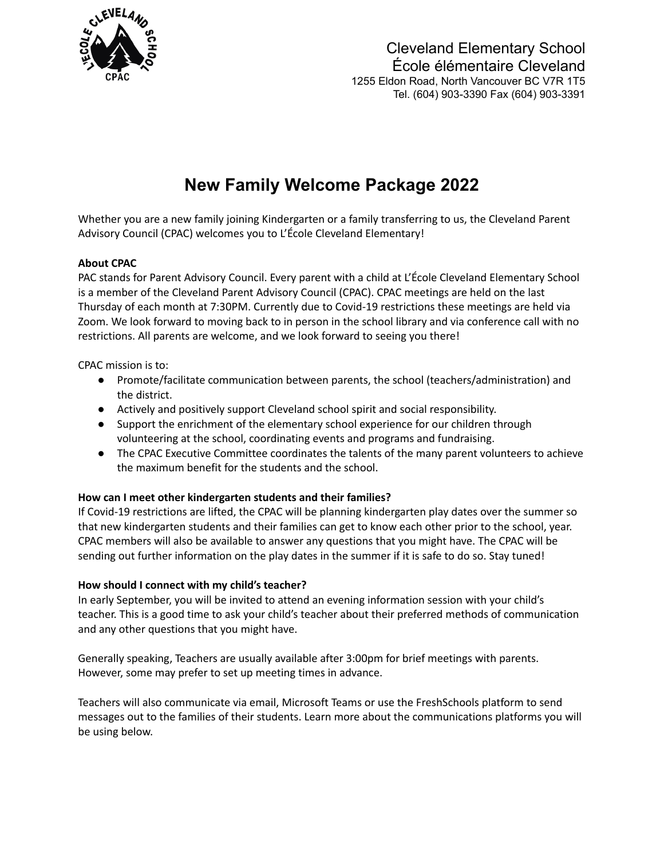

Cleveland Elementary School École élémentaire Cleveland 1255 Eldon Road, North Vancouver BC V7R 1T5 Tel. (604) 903-3390 Fax (604) 903-3391

# **New Family Welcome Package 2022**

Whether you are a new family joining Kindergarten or a family transferring to us, the Cleveland Parent Advisory Council (CPAC) welcomes you to L'École Cleveland Elementary!

## **About CPAC**

PAC stands for Parent Advisory Council. Every parent with a child at L'École Cleveland Elementary School is a member of the Cleveland Parent Advisory Council (CPAC). CPAC meetings are held on the last Thursday of each month at 7:30PM. Currently due to Covid-19 restrictions these meetings are held via Zoom. We look forward to moving back to in person in the school library and via conference call with no restrictions. All parents are welcome, and we look forward to seeing you there!

CPAC mission is to:

- Promote/facilitate communication between parents, the school (teachers/administration) and the district.
- Actively and positively support Cleveland school spirit and social responsibility.
- Support the enrichment of the elementary school experience for our children through volunteering at the school, coordinating events and programs and fundraising.
- The CPAC Executive Committee coordinates the talents of the many parent volunteers to achieve the maximum benefit for the students and the school.

## **How can I meet other kindergarten students and their families?**

If Covid-19 restrictions are lifted, the CPAC will be planning kindergarten play dates over the summer so that new kindergarten students and their families can get to know each other prior to the school, year. CPAC members will also be available to answer any questions that you might have. The CPAC will be sending out further information on the play dates in the summer if it is safe to do so. Stay tuned!

## **How should I connect with my child's teacher?**

In early September, you will be invited to attend an evening information session with your child's teacher. This is a good time to ask your child's teacher about their preferred methods of communication and any other questions that you might have.

Generally speaking, Teachers are usually available after 3:00pm for brief meetings with parents. However, some may prefer to set up meeting times in advance.

Teachers will also communicate via email, Microsoft Teams or use the FreshSchools platform to send messages out to the families of their students. Learn more about the communications platforms you will be using below.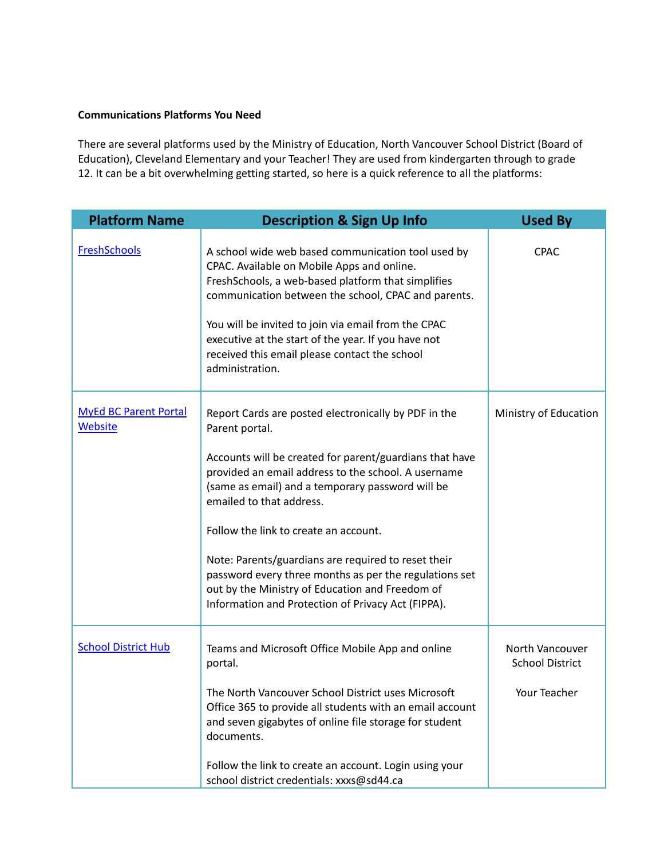## **Communications Platforms You Need**

There are several platforms used by the Ministry of Education, North Vancouver School District (Board of Education), Cleveland Elementary and your Teacher! They are used from kindergarten through to grade 12. It can be a bit overwhelming getting started, so here is a quick reference to all the platforms:

| <b>Platform Name</b>                    | <b>Description &amp; Sign Up Info</b>                                                                                                                                                                                                                                                                                                                                                                                                                                                                                                       | <b>Used By</b>                                            |
|-----------------------------------------|---------------------------------------------------------------------------------------------------------------------------------------------------------------------------------------------------------------------------------------------------------------------------------------------------------------------------------------------------------------------------------------------------------------------------------------------------------------------------------------------------------------------------------------------|-----------------------------------------------------------|
| <b>FreshSchools</b>                     | A school wide web based communication tool used by<br>CPAC. Available on Mobile Apps and online.<br>FreshSchools, a web-based platform that simplifies<br>communication between the school, CPAC and parents.<br>You will be invited to join via email from the CPAC<br>executive at the start of the year. If you have not<br>received this email please contact the school<br>administration.                                                                                                                                             | <b>CPAC</b>                                               |
| <b>MyEd BC Parent Portal</b><br>Website | Report Cards are posted electronically by PDF in the<br>Parent portal.<br>Accounts will be created for parent/guardians that have<br>provided an email address to the school. A username<br>(same as email) and a temporary password will be<br>emailed to that address.<br>Follow the link to create an account.<br>Note: Parents/guardians are required to reset their<br>password every three months as per the regulations set<br>out by the Ministry of Education and Freedom of<br>Information and Protection of Privacy Act (FIPPA). | Ministry of Education                                     |
| <b>School District Hub</b>              | Teams and Microsoft Office Mobile App and online<br>portal.<br>The North Vancouver School District uses Microsoft<br>Office 365 to provide all students with an email account<br>and seven gigabytes of online file storage for student<br>documents.<br>Follow the link to create an account. Login using your<br>school district credentials: xxxs@sd44.ca                                                                                                                                                                                | North Vancouver<br><b>School District</b><br>Your Teacher |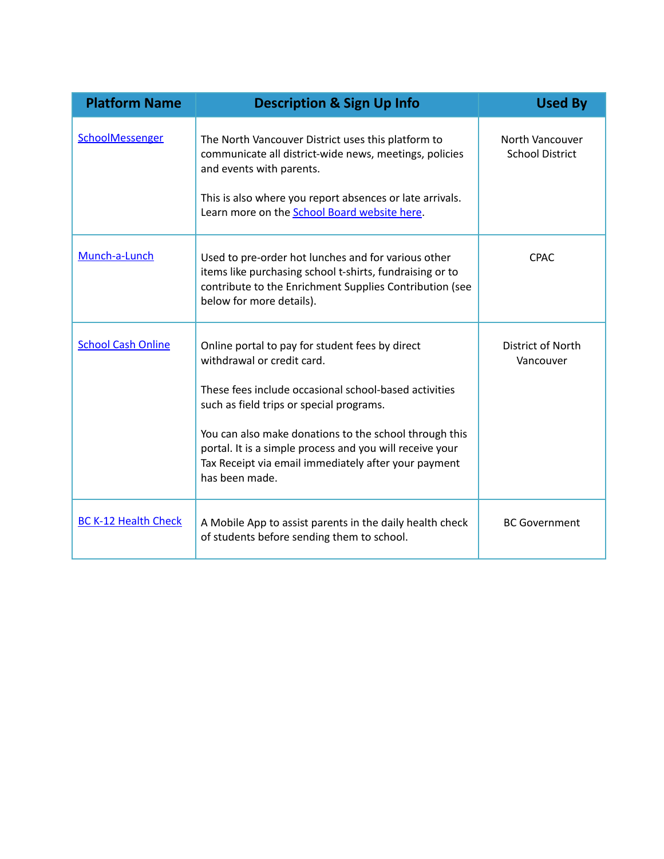| <b>Platform Name</b>        | <b>Description &amp; Sign Up Info</b>                                                                                                                                                                                                                                                                                                                                              | <b>Used By</b>                            |
|-----------------------------|------------------------------------------------------------------------------------------------------------------------------------------------------------------------------------------------------------------------------------------------------------------------------------------------------------------------------------------------------------------------------------|-------------------------------------------|
| SchoolMessenger             | The North Vancouver District uses this platform to<br>communicate all district-wide news, meetings, policies<br>and events with parents.<br>This is also where you report absences or late arrivals.<br>Learn more on the School Board website here.                                                                                                                               | North Vancouver<br><b>School District</b> |
| Munch-a-Lunch               | Used to pre-order hot lunches and for various other<br>items like purchasing school t-shirts, fundraising or to<br>contribute to the Enrichment Supplies Contribution (see<br>below for more details).                                                                                                                                                                             | <b>CPAC</b>                               |
| <b>School Cash Online</b>   | Online portal to pay for student fees by direct<br>withdrawal or credit card.<br>These fees include occasional school-based activities<br>such as field trips or special programs.<br>You can also make donations to the school through this<br>portal. It is a simple process and you will receive your<br>Tax Receipt via email immediately after your payment<br>has been made. | District of North<br>Vancouver            |
| <b>BC K-12 Health Check</b> | A Mobile App to assist parents in the daily health check<br>of students before sending them to school.                                                                                                                                                                                                                                                                             | <b>BC Government</b>                      |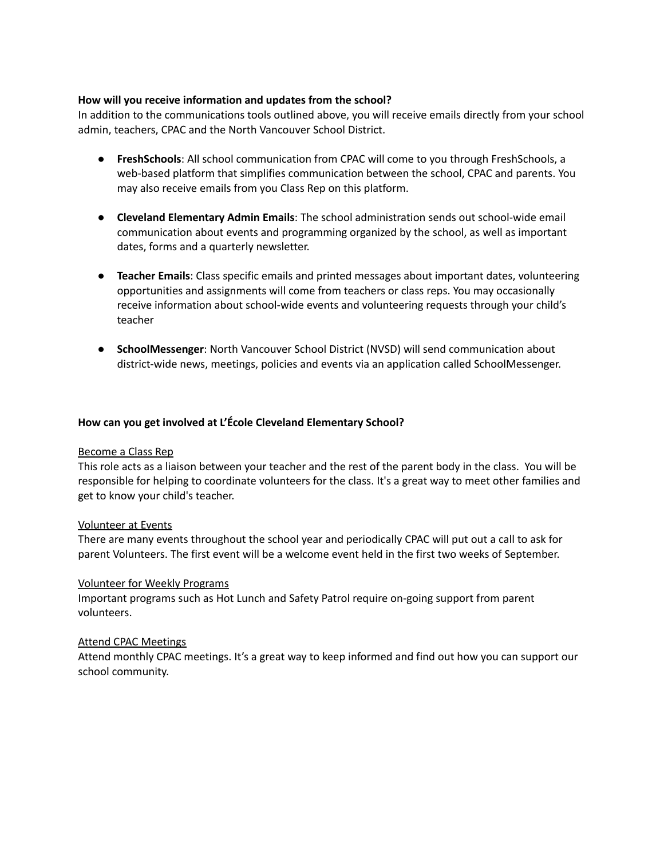## **How will you receive information and updates from the school?**

In addition to the communications tools outlined above, you will receive emails directly from your school admin, teachers, CPAC and the North Vancouver School District.

- **FreshSchools**: All school communication from CPAC will come to you through FreshSchools, a web-based platform that simplifies communication between the school, CPAC and parents. You may also receive emails from you Class Rep on this platform.
- **Cleveland Elementary Admin Emails**: The school administration sends out school-wide email communication about events and programming organized by the school, as well as important dates, forms and a quarterly newsletter.
- **Teacher Emails**: Class specific emails and printed messages about important dates, volunteering opportunities and assignments will come from teachers or class reps. You may occasionally receive information about school-wide events and volunteering requests through your child's teacher
- **SchoolMessenger**: North Vancouver School District (NVSD) will send communication about district-wide news, meetings, policies and events via an application called SchoolMessenger.

#### **How can you get involved at L'École Cleveland Elementary School?**

#### Become a Class Rep

This role acts as a liaison between your teacher and the rest of the parent body in the class. You will be responsible for helping to coordinate volunteers for the class. It's a great way to meet other families and get to know your child's teacher.

#### Volunteer at Events

There are many events throughout the school year and periodically CPAC will put out a call to ask for parent Volunteers. The first event will be a welcome event held in the first two weeks of September.

#### Volunteer for Weekly Programs

Important programs such as Hot Lunch and Safety Patrol require on-going support from parent volunteers.

#### Attend CPAC Meetings

Attend monthly CPAC meetings. It's a great way to keep informed and find out how you can support our school community.